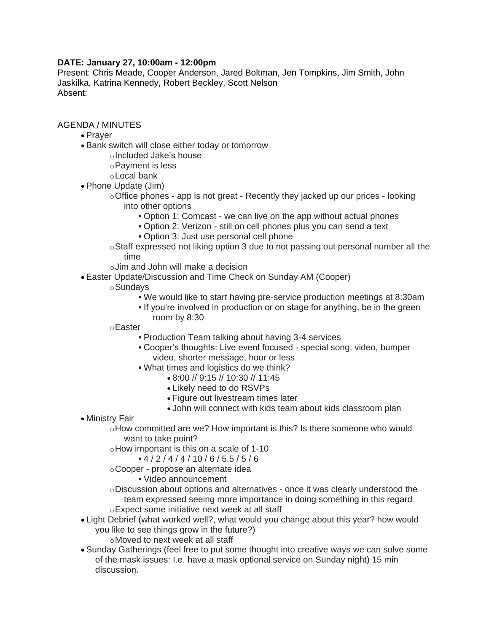## **DATE: January 27, 10:00am - 12:00pm**

Present: Chris Meade, Cooper Anderson, Jared Boltman, Jen Tompkins, Jim Smith, John Jaskilka, Katrina Kennedy, Robert Beckley, Scott Nelson Absent:

## AGENDA / MINUTES

- Prayer
- Bank switch will close either today or tomorrow
	- oIncluded Jake's house
	- oPayment is less
	- oLocal bank
- Phone Update (Jim)
	- $\circ$  Office phones app is not great Recently they jacked up our prices looking into other options
		- Option 1: Comcast we can live on the app without actual phones
		- Option 2: Verizon still on cell phones plus you can send a text
		- Option 3: Just use personal cell phone
	- oStaff expressed not liking option 3 due to not passing out personal number all the time
	- oJim and John will make a decision
- Easter Update/Discussion and Time Check on Sunday AM (Cooper)
	- oSundays
		- We would like to start having pre-service production meetings at 8:30am
		- If you're involved in production or on stage for anything, be in the green room by 8:30
	- oEaster
		- Production Team talking about having 3-4 services
		- Cooper's thoughts: Live event focused special song, video, bumper video, shorter message, hour or less
		- What times and logistics do we think?
			- 8:00 // 9:15 // 10:30 // 11:45
			- Likely need to do RSVPs
			- Figure out livestream times later
			- John will connect with kids team about kids classroom plan
- Ministry Fair

 $\circ$ How committed are we? How important is this? Is there someone who would want to take point?

- oHow important is this on a scale of 1-10
	- $-4/2/4/4/10/6/5.5/5/6$
- oCooper propose an alternate idea
	- Video announcement
- oDiscussion about options and alternatives once it was clearly understood the team expressed seeing more importance in doing something in this regard oExpect some initiative next week at all staff
- Light Debrief (what worked well?, what would you change about this year? how would you like to see things grow in the future?)
	- oMoved to next week at all staff
- Sunday Gatherings (feel free to put some thought into creative ways we can solve some of the mask issues: I.e. have a mask optional service on Sunday night) 15 min discussion.